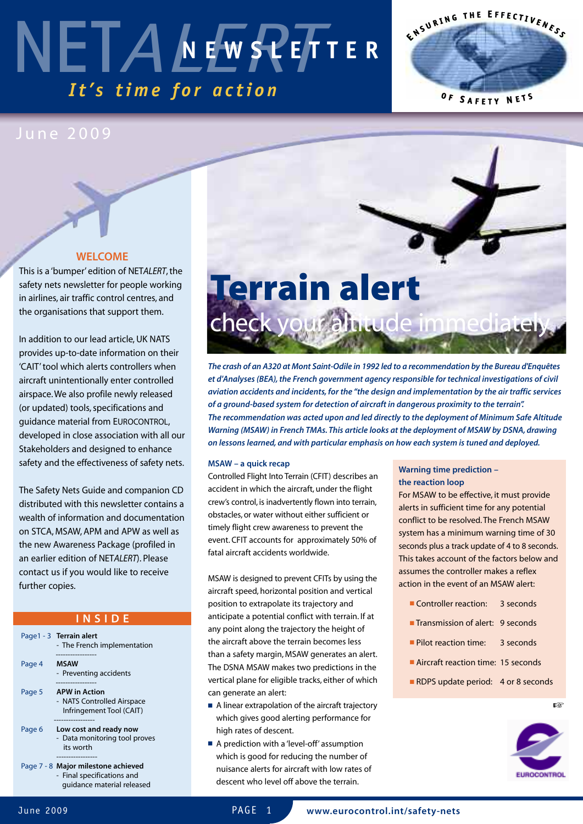# NET*ALERT It's ti m e f o r a c ti o n* **N E W S L E T T E R**



### June 2009

### **WELCOME**

This is a 'bumper' edition of NETALERT, the safety nets newsletter for people working in airlines, air traffic control centres, and the organisations that support them.

In addition to our lead article, UK NATS provides up-to-date information on their 'CAIT'tool which alerts controllers when aircraft unintentionally enter controlled airspace.We also profile newly released (or updated) tools, specifications and guidance material from EUROCONTROL, developed in close association with all our Stakeholders and designed to enhance safety and the effectiveness of safety nets.

The Safety Nets Guide and companion CD distributed with this newsletter contains a wealth of information and documentation on STCA, MSAW, APM and APW as well as the new Awareness Package (profiled in an earlier edition of NETALERT). Please contact us if you would like to receive further copies.

### **I N S I D E**

- Page1 3 **Terrain alert** - The French implementation -----------------
- Page 4 **MSAW** - Preventing accidents -----------------
- Page 5 **APW in Action** - NATS Controlled Airspace Infringement Tool (CAIT)
- ----------------- Page 6 **Low cost and ready now** - Data monitoring tool proves its worth
- ----------------- Page 7 - 8 **Major milestone achieved** - Final specifications and
	- guidance material released



**The crash of an A320 at Mont Saint-Odile in 1992 led to a recommendation by the Bureau d'Enquêtes et d'Analyses (BEA),the French government agency responsible for technical investigations of civil aviation accidents and incidents, for the "the design and implementation by the air traffic services of a ground-based system for detection of aircraft in dangerous proximity to the terrain". The recommendation was acted upon and led directly to the deployment of Minimum Safe Altitude Warning (MSAW) in French TMAs. This article looks at the deployment of MSAW by DSNA, drawing on lessons learned, and with particular emphasis on how each system is tuned and deployed.**

### **MSAW – a quick recap**

Controlled Flight Into Terrain (CFIT) describes an accident in which the aircraft, under the flight crew's control, is inadvertently flown into terrain, obstacles, or water without either sufficient or timely flight crew awareness to prevent the event. CFIT accounts for approximately 50% of fatal aircraft accidents worldwide.

MSAW is designed to prevent CFITs by using the aircraft speed, horizontal position and vertical position to extrapolate its trajectory and anticipate a potential conflict with terrain. If at any point along the trajectory the height of the aircraft above the terrain becomes less than a safety margin, MSAW generates an alert. The DSNA MSAW makes two predictions in the vertical plane for eligible tracks, either of which can generate an alert:

- A linear extrapolation of the aircraft trajectory which gives good alerting performance for high rates of descent.
- A prediction with a 'level-off' assumption which is good for reducing the number of nuisance alerts for aircraft with low rates of descent who level off above the terrain.

### **Warning time prediction – the reaction loop**

For MSAW to be effective, it must provide alerts in sufficient time for any potential conflict to be resolved.The French MSAW system has a minimum warning time of 30 seconds plus a track update of 4 to 8 seconds. This takes account of the factors below and assumes the controller makes a reflex action in the event of an MSAW alert:

- Controller reaction: 3 seconds
- **■** Transmission of alert: 9 seconds
- Pilot reaction time: 3 seconds
- Aircraft reaction time: 15 seconds
- RDPS update period: 4 or 8 seconds

**☞**

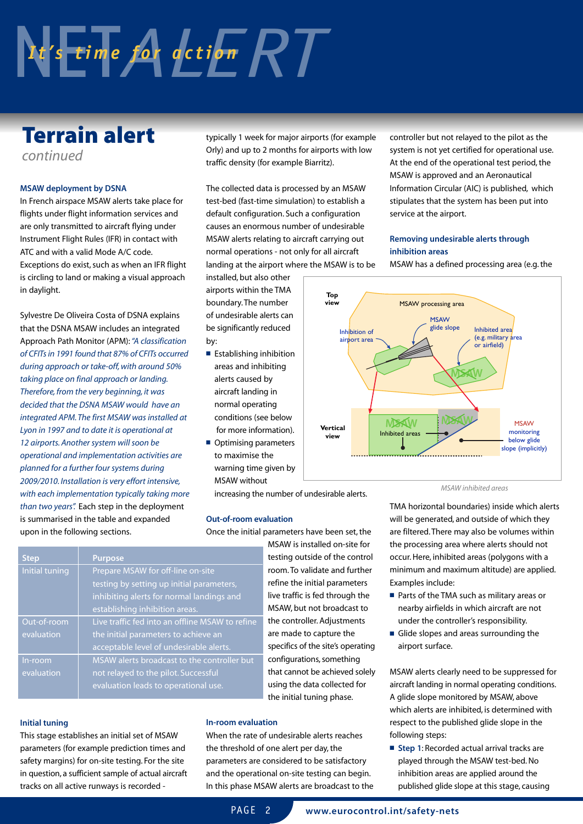# $\frac{1}{2}$  *It's time for action*  $RT$

### **Terrain alert**

continued

### **MSAW deployment by DSNA**

In French airspace MSAW alerts take place for flights under flight information services and are only transmitted to aircraft flying under Instrument Flight Rules (IFR) in contact with ATC and with a valid Mode A/C code. Exceptions do exist, such as when an IFR flight is circling to land or making a visual approach in daylight.

Sylvestre De Oliveira Costa of DSNA explains that the DSNA MSAW includes an integrated Approach Path Monitor (APM):"A classification of CFITs in 1991 found that 87% of CFITs occurred during approach or take-off, with around 50% taking place on final approach or landing. Therefore, from the very beginning, it was decided that the DSNA MSAW would have an integrated APM.The first MSAW was installed at Lyon in 1997 and to date it is operational at 12 airports.Another system will soon be operational and implementation activities are planned for a further four systems during 2009/2010. Installation is very effort intensive, with each implementation typically taking more than two years". Each step in the deployment is summarised in the table and expanded upon in the following sections.

typically 1 week for major airports (for example Orly) and up to 2 months for airports with low traffic density (for example Biarritz).

The collected data is processed by an MSAW test-bed (fast-time simulation) to establish a default configuration. Such a configuration causes an enormous number of undesirable MSAW alerts relating to aircraft carrying out normal operations - not only for all aircraft landing at the airport where the MSAW is to be

installed, but also other airports within the TMA boundary.The number of undesirable alerts can be significantly reduced by:

- Establishing inhibition areas and inhibiting alerts caused by aircraft landing in normal operating conditions (see below for more information).
- Optimising parameters to maximise the warning time given by MSAW without

increasing the number of undesirable alerts.

### **Out-of-room evaluation**

Once the initial parameters have been set, the

MSAW is installed on-site for testing outside of the control room.To validate and further refine the initial parameters live traffic is fed through the MSAW, but not broadcast to the controller. Adjustments are made to capture the specifics of the site's operating configurations, something that cannot be achieved solely using the data collected for the initial tuning phase.

| <b>Step</b>    | <b>Purpose</b>                                  |
|----------------|-------------------------------------------------|
| Initial tuning | Prepare MSAW for off-line on-site               |
|                | testing by setting up initial parameters,       |
|                | inhibiting alerts for normal landings and       |
|                | establishing inhibition areas.                  |
| Out-of-room    | Live traffic fed into an offline MSAW to refine |
| evaluation     | the initial parameters to achieve an            |
|                | acceptable level of undesirable alerts.         |
| In-room        | MSAW alerts broadcast to the controller but     |
| evaluation     | not relayed to the pilot. Successful            |
|                | evaluation leads to operational use.            |

### **Initial tuning**

This stage establishes an initial set of MSAW parameters (for example prediction times and safety margins) for on-site testing. For the site in question, a sufficient sample of actual aircraft tracks on all active runways is recorded -

### **In-room evaluation**

When the rate of undesirable alerts reaches the threshold of one alert per day, the parameters are considered to be satisfactory and the operational on-site testing can begin. In this phase MSAW alerts are broadcast to the controller but not relayed to the pilot as the system is not yet certified for operational use. At the end of the operational test period, the MSAW is approved and an Aeronautical Information Circular (AIC) is published, which stipulates that the system has been put into service at the airport.

### **Removing undesirable alerts through inhibition areas**

MSAW has a defined processing area (e.g.the



#### MSAW inhibited areas

TMA horizontal boundaries) inside which alerts will be generated, and outside of which they are filtered.There may also be volumes within the processing area where alerts should not occur.Here, inhibited areas (polygons with a minimum and maximum altitude) are applied. Examples include:

- Parts of the TMA such as military areas or nearby airfields in which aircraft are not under the controller's responsibility.
- Glide slopes and areas surrounding the airport surface.

MSAW alerts clearly need to be suppressed for aircraft landing in normal operating conditions. A glide slope monitored by MSAW, above which alerts are inhibited, is determined with respect to the published glide slope in the following steps:

**■ Step 1**: Recorded actual arrival tracks are played through the MSAW test-bed.No inhibition areas are applied around the published glide slope at this stage, causing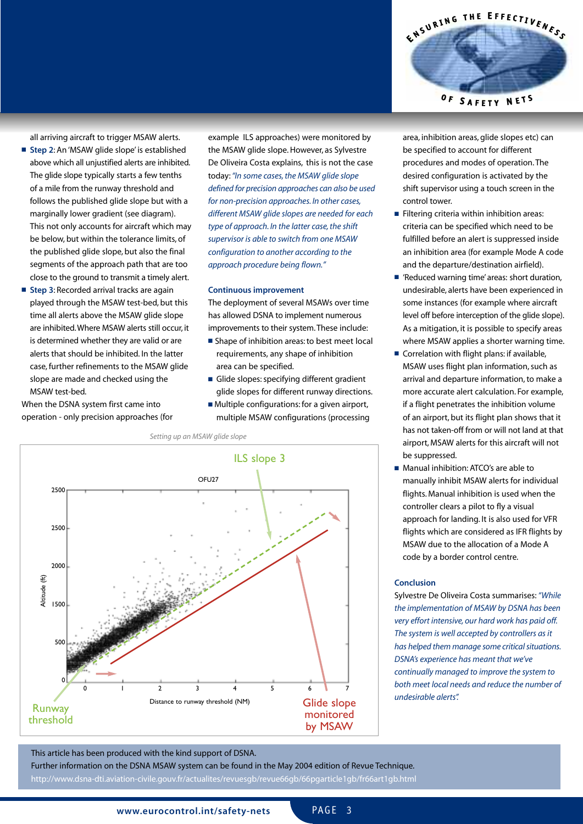all arriving aircraft to trigger MSAW alerts.

- **Step 2**: An 'MSAW glide slope' is established above which all unjustified alerts are inhibited. The glide slope typically starts a few tenths of a mile from the runway threshold and follows the published glide slope but with a marginally lower gradient (see diagram). This not only accounts for aircraft which may be below, but within the tolerance limits, of the published glide slope, but also the final segments of the approach path that are too close to the ground to transmit a timely alert.
- **Step 3**: Recorded arrival tracks are again played through the MSAW test-bed, but this time all alerts above the MSAW glide slope are inhibited.Where MSAW alerts still occur, it is determined whether they are valid or are alerts that should be inhibited. In the latter case, further refinements to the MSAW glide slope are made and checked using the MSAW test-bed.

When the DSNA system first came into operation - only precision approaches (for example ILS approaches) were monitored by the MSAW glide slope.However, as Sylvestre De Oliveira Costa explains, this is not the case today: "In some cases, the MSAW glide slope defined for precision approaches can also be used for non-precision approaches. In other cases, different MSAW glide slopes are needed for each type of approach. In the latter case, the shift supervisor is able to switch from one MSAW configuration to another according to the approach procedure being flown."

#### **Continuous improvement**

The deployment of several MSAWs over time has allowed DSNA to implement numerous improvements to their system.These include:

- Shape of inhibition areas: to best meet local requirements, any shape of inhibition area can be specified.
- Glide slopes: specifying different gradient glide slopes for different runway directions.
- Multiple configurations: for a given airport, multiple MSAW configurations (processing





area, inhibition areas, glide slopes etc) can be specified to account for different procedures and modes of operation.The desired configuration is activated by the shift supervisor using a touch screen in the control tower.

- Filtering criteria within inhibition areas: criteria can be specified which need to be fulfilled before an alert is suppressed inside an inhibition area (for example Mode A code and the departure/destination airfield).
- 'Reduced warning time' areas: short duration, undesirable, alerts have been experienced in some instances (for example where aircraft level off before interception of the glide slope). As a mitigation, it is possible to specify areas where MSAW applies a shorter warning time.
- Correlation with flight plans: if available, MSAW uses flight plan information, such as arrival and departure information,to make a more accurate alert calculation. For example, if a flight penetrates the inhibition volume of an airport, but its flight plan shows that it has not taken-off from or will not land at that airport, MSAW alerts for this aircraft will not be suppressed.
- Manual inhibition: ATCO's are able to manually inhibit MSAW alerts for individual flights. Manual inhibition is used when the controller clears a pilot to fly a visual approach for landing. It is also used for VFR flights which are considered as IFR flights by MSAW due to the allocation of a Mode A code by a border control centre.

### **Conclusion**

Sylvestre De Oliveira Costa summarises:"While the implementation of MSAW by DSNA has been very effort intensive, our hard work has paid off. The system is well accepted by controllers as it has helped them manage some critical situations. DSNA's experience has meant that we've continually managed to improve the system to both meet local needs and reduce the number of undesirable alerts".

### This article has been produced with the kind support of DSNA. Further information on the DSNA MSAW system can be found in the May 2004 edition of Revue Technique. http://www.dsna-dti.aviation-civile.gouv.fr/actualites/revuesgb/revue66gb/66pgarticle1gb/fr66art1gb.html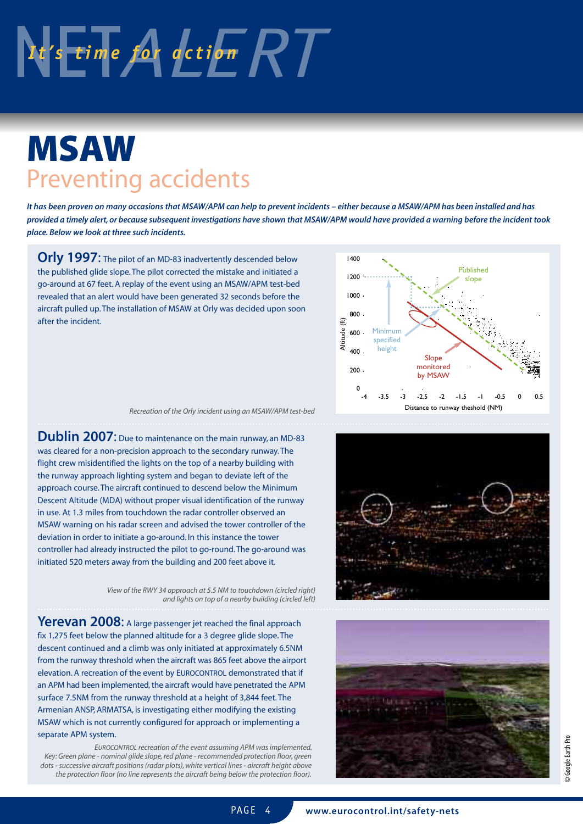

## **MSAW** Preventing accidents

It has been proven on many occasions that MSAW/APM can help to prevent incidents - either because a MSAW/APM has been installed and has provided a timely alert, or because subsequent investigations have shown that MSAW/APM would have provided a warning before the incident took **place. Below we look at three such incidents.**

**Orly 1997**: The pilot of an MD-83 inadvertently descended below the published glide slope.The pilot corrected the mistake and initiated a go-around at 67 feet. A replay of the event using an MSAW/APM test-bed revealed that an alert would have been generated 32 seconds before the aircraft pulled up.The installation of MSAW at Orly was decided upon soon after the incident.



Recreation of the Orly incident using an MSAW/APM test-bed

**Dublin 2007**: Due to maintenance on the main runway, an MD-83 was cleared for a non-precision approach to the secondary runway.The flight crew misidentified the lights on the top of a nearby building with the runway approach lighting system and began to deviate left of the approach course.The aircraft continued to descend below the Minimum Descent Altitude (MDA) without proper visual identification of the runway in use. At 1.3 miles from touchdown the radar controller observed an MSAW warning on his radar screen and advised the tower controller of the deviation in order to initiate a go-around. In this instance the tower controller had already instructed the pilot to go-round.The go-around was initiated 520 meters away from the building and 200 feet above it.

> View of the RWY 34 approach at 5.5 NM to touchdown (circled right) and lights on top of a nearby building (circled left)

**Yerevan 2008**: <sup>A</sup> large passenger jet reached the final approach fix 1,275 feet below the planned altitude for a 3 degree glide slope.The descent continued and a climb was only initiated at approximately 6.5NM from the runway threshold when the aircraft was 865 feet above the airport elevation. A recreation of the event by EUROCONTROL demonstrated that if an APM had been implemented, the aircraft would have penetrated the APM surface 7.5NM from the runway threshold at a height of 3,844 feet.The Armenian ANSP, ARMATSA, is investigating either modifying the existing MSAW which is not currently configured for approach or implementing a separate APM system.

EUROCONTROL recreation of the event assuming APM was implemented. Key: Green plane - nominal glide slope, red plane - recommended protection floor, green dots - successive aircraft positions (radar plots), white vertical lines - aircraft height above





PAGF<sub>4</sub>

**www.eurocontrol.int/safety-nets**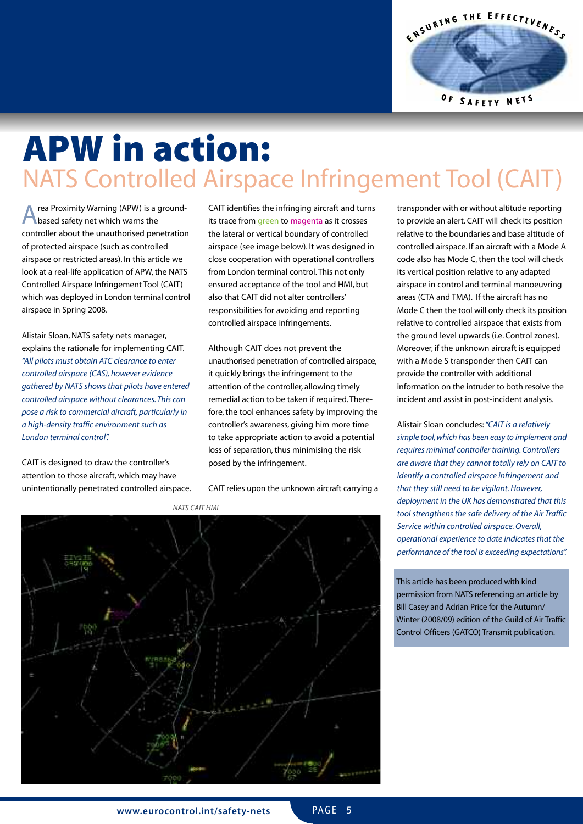ENSURING THE EFFECTIVENESS  $0F$ SAFETY NETS

### **APW in action:** NATS Controlled Airspace Infringement Tool (CAIT)

rea Proximity Warning (APW) is a groundbased safety net which warns the controller about the unauthorised penetration of protected airspace (such as controlled airspace or restricted areas). In this article we look at a real-life application of APW, the NATS Controlled Airspace Infringement Tool (CAIT) which was deployed in London terminal control airspace in Spring 2008.

Alistair Sloan,NATS safety nets manager, explains the rationale for implementing CAIT. "All pilots must obtain ATC clearance to enter controlled airspace (CAS), however evidence gathered by NATS shows that pilots have entered controlled airspace without clearances.This can pose a risk to commercial aircraft, particularly in a high-density traffic environment such as London terminal control".

CAIT is designed to draw the controller's attention to those aircraft, which may have unintentionally penetrated controlled airspace. CAIT identifies the infringing aircraft and turns its trace from green to magenta as it crosses the lateral or vertical boundary of controlled airspace (see image below). It was designed in close cooperation with operational controllers from London terminal control.This not only ensured acceptance of the tool and HMI, but also that CAIT did not alter controllers' responsibilities for avoiding and reporting controlled airspace infringements.

Although CAIT does not prevent the unauthorised penetration of controlled airspace, it quickly brings the infringement to the attention of the controller, allowing timely remedial action to be taken if required.Therefore, the tool enhances safety by improving the controller's awareness, giving him more time to take appropriate action to avoid a potential loss of separation, thus minimising the risk posed by the infringement.

CAIT relies upon the unknown aircraft carrying a



transponder with or without altitude reporting to provide an alert. CAIT will check its position relative to the boundaries and base altitude of controlled airspace. If an aircraft with a Mode A code also has Mode C,then the tool will check its vertical position relative to any adapted airspace in control and terminal manoeuvring areas (CTA and TMA). If the aircraft has no Mode C then the tool will only check its position relative to controlled airspace that exists from the ground level upwards (i.e. Control zones). Moreover, if the unknown aircraft is equipped with a Mode S transponder then CAIT can provide the controller with additional information on the intruder to both resolve the incident and assist in post-incident analysis.

Alistair Sloan concludes:"CAIT is a relatively simple tool,which has been easy to implement and requires minimal controller training.Controllers are aware that they cannot totally rely on CAIT to identify a controlled airspace infringement and that they still need to be vigilant. However, deployment in the UK has demonstrated that this tool strengthens the safe delivery of the Air Traffic Service within controlled airspace. Overall, operational experience to date indicates that the performance of the tool is exceeding expectations".

This article has been produced with kind permission from NATS referencing an article by Bill Casey and Adrian Price for the Autumn/ Winter (2008/09) edition of the Guild of Air Traffic Control Officers (GATCO) Transmit publication.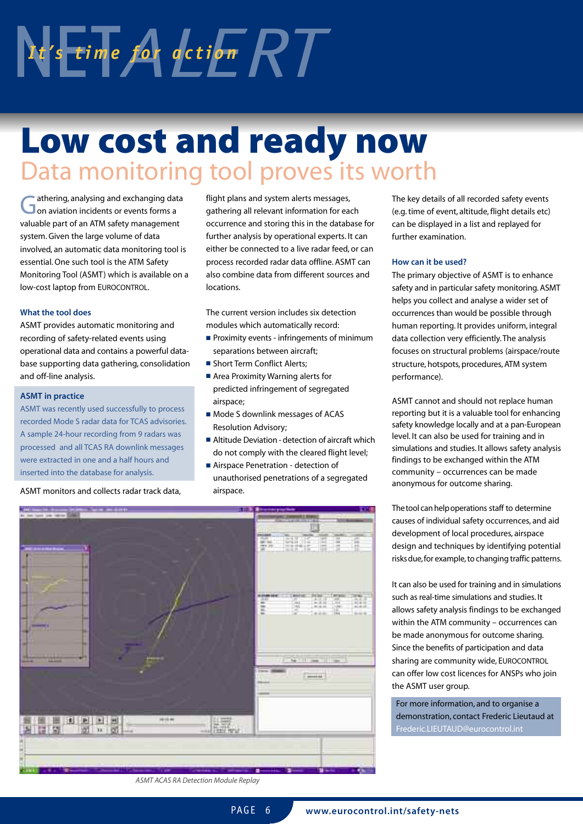# $\frac{1}{2}$  *I x*  $\frac{1}{2}$  *time for action RT*

# **Low cost and ready now** Data monitoring tool proves its worth

Gathering, analysing and exchanging data<br> **G** on aviation incidents or events forms a valuable part of an ATM safety management system.Given the large volume of data involved, an automatic data monitoring tool is essential.One such tool is the ATM Safety Monitoring Tool (ASMT) which is available on a low-cost laptop from EUROCONTROL.

### **What the tool does**

ASMT provides automatic monitoring and recording of safety-related events using operational data and contains a powerful database supporting data gathering, consolidation and off-line analysis.

#### **ASMT in practice**

ASMT was recently used successfully to process recorded Mode S radar data for TCAS advisories. A sample 24-hour recording from 9 radars was processed and all TCAS RA downlink messages were extracted in one and a half hours and inserted into the database for analysis.

ASMT monitors and collects radar track data,

flight plans and system alerts messages, gathering all relevant information for each occurrence and storing this in the database for further analysis by operational experts. It can either be connected to a live radar feed, or can process recorded radar data offline. ASMT can also combine data from different sources and locations.

The current version includes six detection modules which automatically record:

- Proximity events infringements of minimum separations between aircraft;
- **■** Short Term Conflict Alerts;
- Area Proximity Warning alerts for predicted infringement of segregated airspace;
- Mode S downlink messages of ACAS Resolution Advisory;
- Altitude Deviation detection of aircraft which do not comply with the cleared flight level;

■ Airspace Penetration - detection of unauthorised penetrations of a segregated airspace.



The key details of all recorded safety events (e.g.time of event, altitude, flight details etc) can be displayed in a list and replayed for further examination.

### **How can it be used?**

The primary objective of ASMT is to enhance safety and in particular safety monitoring.ASMT helps you collect and analyse a wider set of occurrences than would be possible through human reporting. It provides uniform, integral data collection very efficiently.The analysis focuses on structural problems (airspace/route structure, hotspots, procedures, ATM system performance).

ASMT cannot and should not replace human reporting but it is a valuable tool for enhancing safety knowledge locally and at a pan-European level. It can also be used for training and in simulations and studies. It allows safety analysis findings to be exchanged within the ATM community – occurrences can be made anonymous for outcome sharing.

The tool can help operations staff to determine causes of individual safety occurrences, and aid development of local procedures, airspace design and techniques by identifying potential risksdue,for example,to changing traffic patterns.

It can also be used for training and in simulations such as real-time simulations and studies. It allows safety analysis findings to be exchanged within the ATM community – occurrences can be made anonymous for outcome sharing. Since the benefits of participation and data sharing are community wide, EUROCONTROL can offer low cost licences for ANSPs who join the ASMT user group.

For more information, and to organise a demonstration, contact Frederic Lieutaud at Frederic.LIEUTAUD@eurocontrol.int

ASMT ACAS RA Detection Module Replay

PAGE 6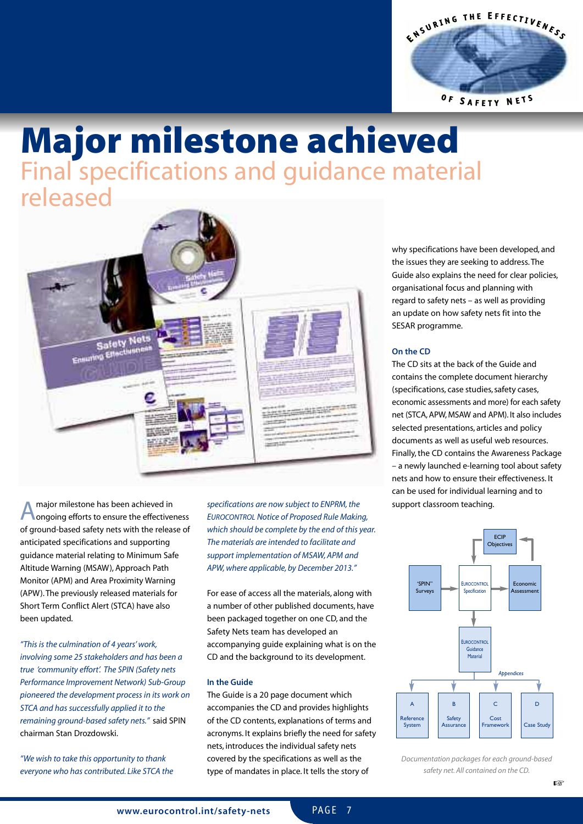

### **Major milestone achieved** Final specifications and guidance material released



A major milestone has been achieved in<br> **A** ongoing efforts to ensure the effectiveness of ground-based safety nets with the release of anticipated specifications and supporting guidance material relating to Minimum Safe Altitude Warning (MSAW), Approach Path Monitor (APM) and Area Proximity Warning (APW).The previously released materials for Short Term Conflict Alert (STCA) have also been updated.

"This is the culmination of 4 years' work, involving some 25 stakeholders and has been a true 'community effort'. The SPIN (Safety nets Performance Improvement Network) Sub-Group pioneered the development process in its work on STCA and has successfully applied it to the remaining ground-based safety nets." said SPIN chairman Stan Drozdowski.

"We wish to take this opportunity to thank everyone who has contributed. Like STCA the specifications are now subject to ENPRM, the EUROCONTROL Notice of Proposed Rule Making, which should be complete by the end of this year. The materials are intended to facilitate and support implementation of MSAW,APM and APW, where applicable, by December 2013."

For ease of access all the materials, along with a number of other published documents, have been packaged together on one CD, and the Safety Nets team has developed an accompanying guide explaining what is on the CD and the background to its development.

### **In the Guide**

The Guide is a 20 page document which accompanies the CD and provides highlights of the CD contents, explanations of terms and acronyms. It explains briefly the need for safety nets, introduces the individual safety nets covered by the specifications as well as the type of mandates in place. It tells the story of

why specifications have been developed, and the issues they are seeking to address.The Guide also explains the need for clear policies, organisational focus and planning with regard to safety nets – as well as providing an update on how safety nets fit into the SESAR programme.

### **On the CD**

The CD sits at the back of the Guide and contains the complete document hierarchy (specifications, case studies, safety cases, economic assessments and more) for each safety net (STCA,APW, MSAW and APM). It also includes selected presentations, articles and policy documents as well as useful web resources. Finally,the CD contains the Awareness Package – a newly launched e-learning tool about safety nets and how to ensure their effectiveness. It can be used for individual learning and to support classroom teaching.



Documentation packages for each ground-based safety net.All contained on the CD.